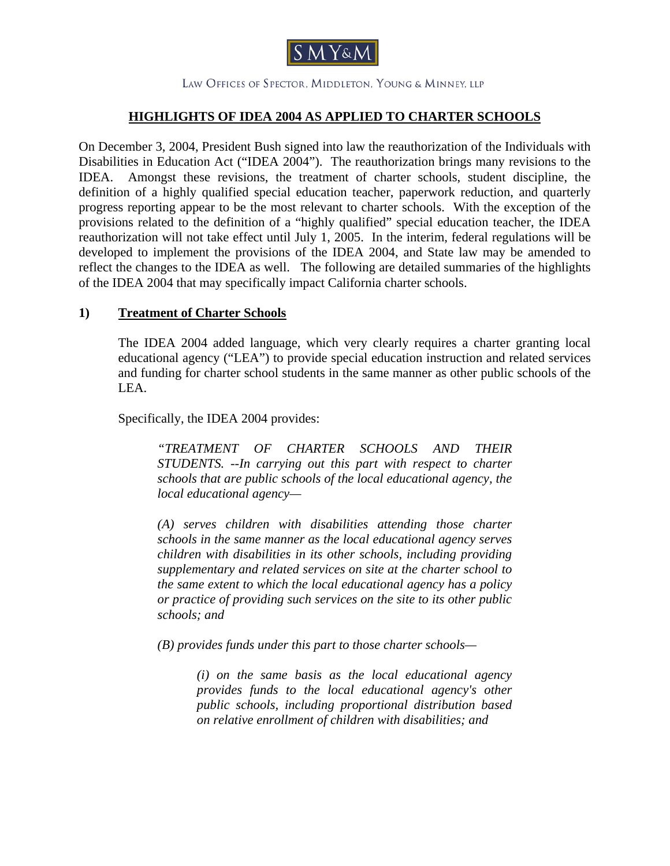

#### LAW OFFICES OF SPECTOR, MIDDLETON, YOUNG & MINNEY, LLP

### **HIGHLIGHTS OF IDEA 2004 AS APPLIED TO CHARTER SCHOOLS**

On December 3, 2004, President Bush signed into law the reauthorization of the Individuals with Disabilities in Education Act ("IDEA 2004"). The reauthorization brings many revisions to the IDEA. Amongst these revisions, the treatment of charter schools, student discipline, the definition of a highly qualified special education teacher, paperwork reduction, and quarterly progress reporting appear to be the most relevant to charter schools. With the exception of the provisions related to the definition of a "highly qualified" special education teacher, the IDEA reauthorization will not take effect until July 1, 2005. In the interim, federal regulations will be developed to implement the provisions of the IDEA 2004, and State law may be amended to reflect the changes to the IDEA as well. The following are detailed summaries of the highlights of the IDEA 2004 that may specifically impact California charter schools.

#### **1) Treatment of Charter Schools**

The IDEA 2004 added language, which very clearly requires a charter granting local educational agency ("LEA") to provide special education instruction and related services and funding for charter school students in the same manner as other public schools of the LEA.

Specifically, the IDEA 2004 provides:

*"TREATMENT OF CHARTER SCHOOLS AND THEIR STUDENTS. --In carrying out this part with respect to charter schools that are public schools of the local educational agency, the local educational agency—* 

*(A) serves children with disabilities attending those charter schools in the same manner as the local educational agency serves children with disabilities in its other schools, including providing supplementary and related services on site at the charter school to the same extent to which the local educational agency has a policy or practice of providing such services on the site to its other public schools; and* 

*(B) provides funds under this part to those charter schools—* 

*(i) on the same basis as the local educational agency provides funds to the local educational agency's other public schools, including proportional distribution based on relative enrollment of children with disabilities; and*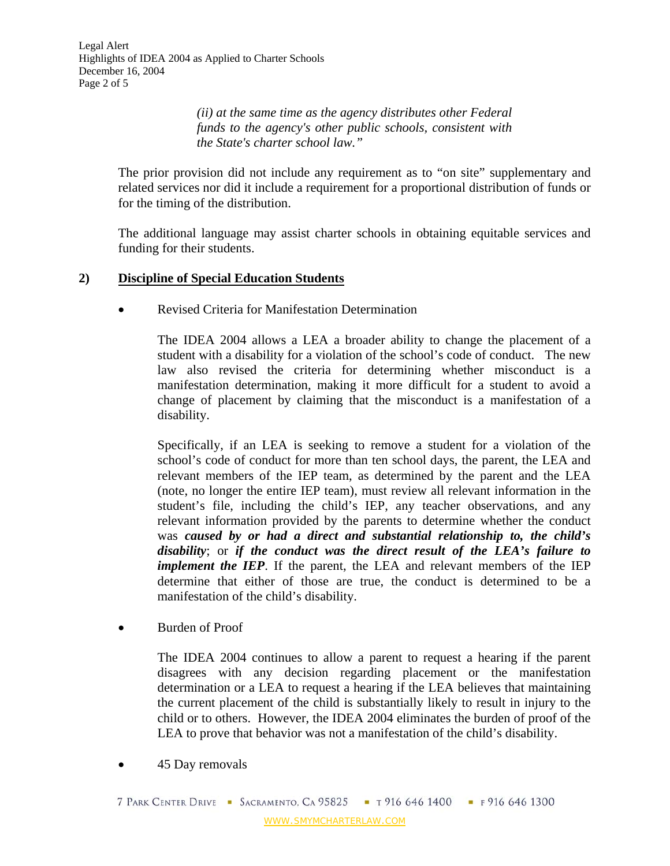Legal Alert Highlights of IDEA 2004 as Applied to Charter Schools December 16, 2004 Page 2 of 5

> *(ii) at the same time as the agency distributes other Federal funds to the agency's other public schools, consistent with the State's charter school law."*

The prior provision did not include any requirement as to "on site" supplementary and related services nor did it include a requirement for a proportional distribution of funds or for the timing of the distribution.

The additional language may assist charter schools in obtaining equitable services and funding for their students.

#### **2) Discipline of Special Education Students**

• Revised Criteria for Manifestation Determination

The IDEA 2004 allows a LEA a broader ability to change the placement of a student with a disability for a violation of the school's code of conduct. The new law also revised the criteria for determining whether misconduct is a manifestation determination, making it more difficult for a student to avoid a change of placement by claiming that the misconduct is a manifestation of a disability.

Specifically, if an LEA is seeking to remove a student for a violation of the school's code of conduct for more than ten school days, the parent, the LEA and relevant members of the IEP team, as determined by the parent and the LEA (note, no longer the entire IEP team), must review all relevant information in the student's file, including the child's IEP, any teacher observations, and any relevant information provided by the parents to determine whether the conduct was *caused by or had a direct and substantial relationship to, the child's disability*; or *if the conduct was the direct result of the LEA's failure to implement the IEP*. If the parent, the LEA and relevant members of the IEP determine that either of those are true, the conduct is determined to be a manifestation of the child's disability.

• Burden of Proof

The IDEA 2004 continues to allow a parent to request a hearing if the parent disagrees with any decision regarding placement or the manifestation determination or a LEA to request a hearing if the LEA believes that maintaining the current placement of the child is substantially likely to result in injury to the child or to others. However, the IDEA 2004 eliminates the burden of proof of the LEA to prove that behavior was not a manifestation of the child's disability.

45 Day removals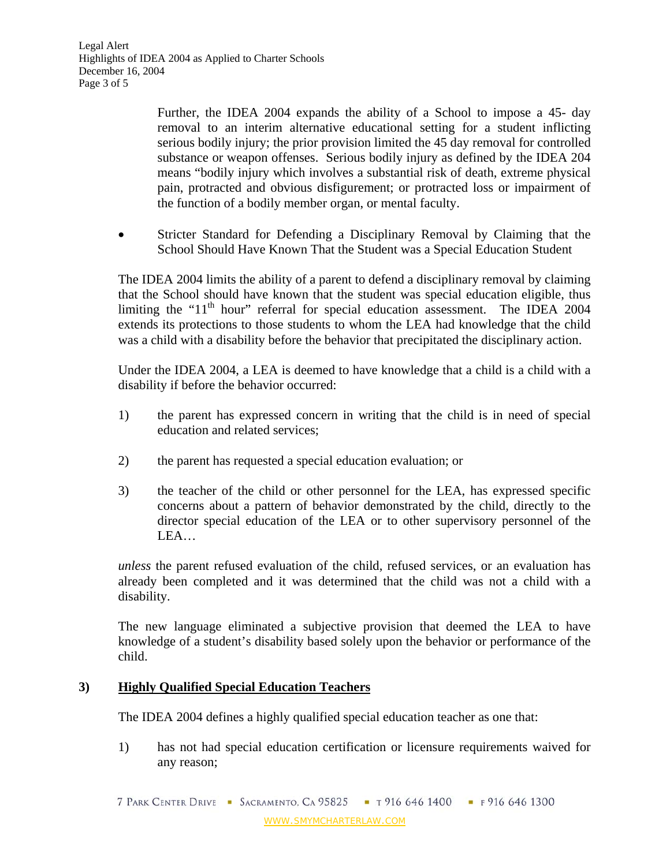Legal Alert Highlights of IDEA 2004 as Applied to Charter Schools December 16, 2004 Page 3 of 5

> Further, the IDEA 2004 expands the ability of a School to impose a 45- day removal to an interim alternative educational setting for a student inflicting serious bodily injury; the prior provision limited the 45 day removal for controlled substance or weapon offenses. Serious bodily injury as defined by the IDEA 204 means "bodily injury which involves a substantial risk of death, extreme physical pain, protracted and obvious disfigurement; or protracted loss or impairment of the function of a bodily member organ, or mental faculty.

Stricter Standard for Defending a Disciplinary Removal by Claiming that the School Should Have Known That the Student was a Special Education Student

The IDEA 2004 limits the ability of a parent to defend a disciplinary removal by claiming that the School should have known that the student was special education eligible, thus limiting the " $11<sup>th</sup>$  hour" referral for special education assessment. The IDEA 2004 extends its protections to those students to whom the LEA had knowledge that the child was a child with a disability before the behavior that precipitated the disciplinary action.

Under the IDEA 2004, a LEA is deemed to have knowledge that a child is a child with a disability if before the behavior occurred:

- 1) the parent has expressed concern in writing that the child is in need of special education and related services;
- 2) the parent has requested a special education evaluation; or
- 3) the teacher of the child or other personnel for the LEA, has expressed specific concerns about a pattern of behavior demonstrated by the child, directly to the director special education of the LEA or to other supervisory personnel of the LEA…

*unless* the parent refused evaluation of the child, refused services, or an evaluation has already been completed and it was determined that the child was not a child with a disability.

The new language eliminated a subjective provision that deemed the LEA to have knowledge of a student's disability based solely upon the behavior or performance of the child.

#### **3) Highly Qualified Special Education Teachers**

The IDEA 2004 defines a highly qualified special education teacher as one that:

1) has not had special education certification or licensure requirements waived for any reason;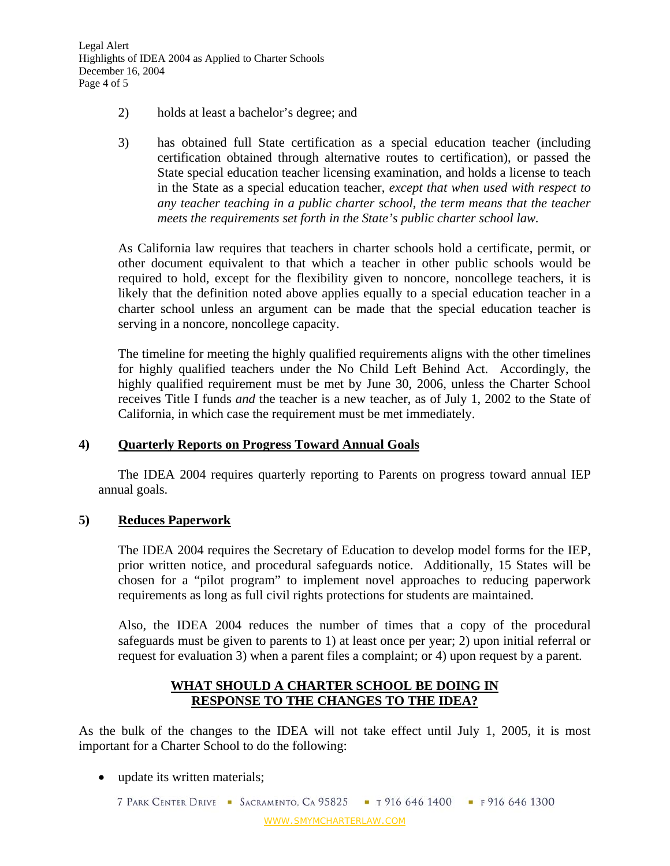- 2) holds at least a bachelor's degree; and
- 3) has obtained full State certification as a special education teacher (including certification obtained through alternative routes to certification), or passed the State special education teacher licensing examination, and holds a license to teach in the State as a special education teacher, *except that when used with respect to any teacher teaching in a public charter school, the term means that the teacher meets the requirements set forth in the State's public charter school law.*

As California law requires that teachers in charter schools hold a certificate, permit, or other document equivalent to that which a teacher in other public schools would be required to hold, except for the flexibility given to noncore, noncollege teachers, it is likely that the definition noted above applies equally to a special education teacher in a charter school unless an argument can be made that the special education teacher is serving in a noncore, noncollege capacity.

The timeline for meeting the highly qualified requirements aligns with the other timelines for highly qualified teachers under the No Child Left Behind Act. Accordingly, the highly qualified requirement must be met by June 30, 2006, unless the Charter School receives Title I funds *and* the teacher is a new teacher, as of July 1, 2002 to the State of California, in which case the requirement must be met immediately.

# **4) Quarterly Reports on Progress Toward Annual Goals**

The IDEA 2004 requires quarterly reporting to Parents on progress toward annual IEP annual goals.

#### **5) Reduces Paperwork**

The IDEA 2004 requires the Secretary of Education to develop model forms for the IEP, prior written notice, and procedural safeguards notice. Additionally, 15 States will be chosen for a "pilot program" to implement novel approaches to reducing paperwork requirements as long as full civil rights protections for students are maintained.

Also, the IDEA 2004 reduces the number of times that a copy of the procedural safeguards must be given to parents to 1) at least once per year; 2) upon initial referral or request for evaluation 3) when a parent files a complaint; or 4) upon request by a parent.

## **WHAT SHOULD A CHARTER SCHOOL BE DOING IN RESPONSE TO THE CHANGES TO THE IDEA?**

As the bulk of the changes to the IDEA will not take effect until July 1, 2005, it is most important for a Charter School to do the following:

• update its written materials;